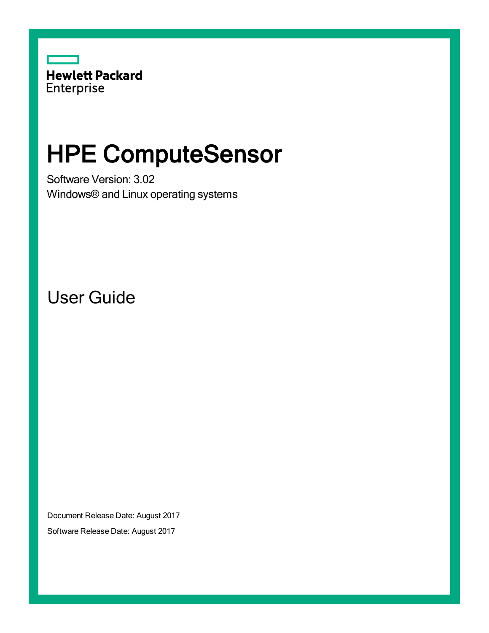

# HPE ComputeSensor

Software Version: 3.02 Windows® and Linux operating systems

User Guide

Document Release Date: August 2017

Software Release Date: August 2017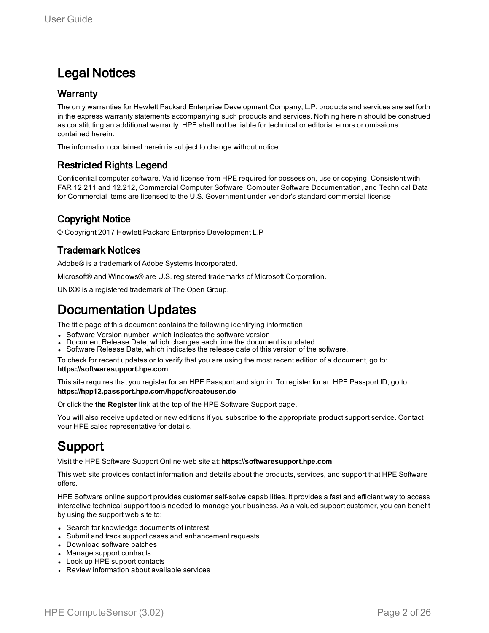# Legal Notices

## **Warranty**

The only warranties for Hewlett Packard Enterprise Development Company, L.P. products and services are set forth in the express warranty statements accompanying such products and services. Nothing herein should be construed as constituting an additional warranty. HPE shall not be liable for technical or editorial errors or omissions contained herein.

The information contained herein is subject to change without notice.

# Restricted Rights Legend

Confidential computer software. Valid license from HPE required for possession, use or copying. Consistent with FAR 12.211 and 12.212, Commercial Computer Software, Computer Software Documentation, and Technical Data for Commercial Items are licensed to the U.S. Government under vendor's standard commercial license.

# Copyright Notice

© Copyright 2017 Hewlett Packard Enterprise Development L.P

## Trademark Notices

Adobe® is a trademark of Adobe Systems Incorporated.

Microsoft® and Windows® are U.S. registered trademarks of Microsoft Corporation.

UNIX® is a registered trademark of The Open Group.

# Documentation Updates

The title page of this document contains the following identifying information:

- Software Version number, which indicates the software version.
- Document Release Date, which changes each time the document is updated.
- <sup>l</sup> Software Release Date, which indicates the release date of this version of the software.

To check for recent updates or to verify that you are using the most recent edition of a document, go to: **https://softwaresupport.hpe.com**

This site requires that you register for an HPE Passport and sign in. To register for an HPE Passport ID, go to: **https://hpp12.passport.hpe.com/hppcf/createuser.do**

Or click the **the Register** link at the top of the HPE Software Support page.

You will also receive updated or new editions if you subscribe to the appropriate product support service. Contact your HPE sales representative for details.

# Support

Visit the HPE Software Support Online web site at: **https://softwaresupport.hpe.com**

This web site provides contact information and details about the products, services, and support that HPE Software offers.

HPE Software online support provides customer self-solve capabilities. It provides a fast and efficient way to access interactive technical support tools needed to manage your business. As a valued support customer, you can benefit by using the support web site to:

- Search for knowledge documents of interest
- Submit and track support cases and enhancement requests
- Download software patches
- Manage support contracts
- Look up HPE support contacts
- Review information about available services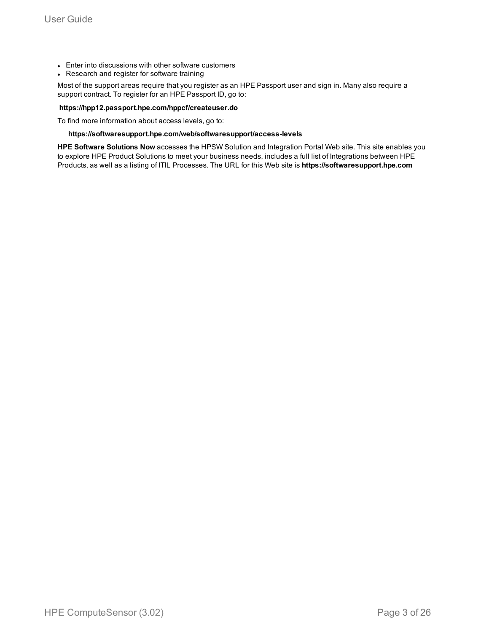- Enter into discussions with other software customers
- Research and register for software training

Most of the support areas require that you register as an HPE Passport user and sign in. Many also require a support contract. To register for an HPE Passport ID, go to:

#### **https://hpp12.passport.hpe.com/hppcf/createuser.do**

To find more information about access levels, go to:

#### **https://softwaresupport.hpe.com/web/softwaresupport/access-levels**

**HPE Software Solutions Now** accesses the HPSW Solution and Integration Portal Web site. This site enables you to explore HPE Product Solutions to meet your business needs, includes a full list of Integrations between HPE Products, as well as a listing of ITIL Processes. The URL for this Web site is **https://softwaresupport.hpe.com**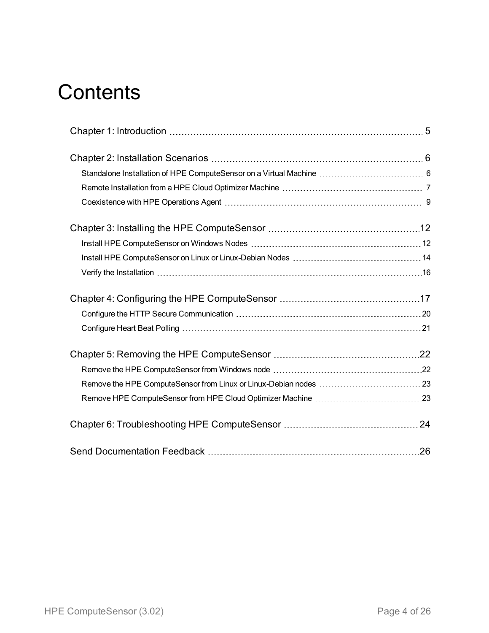# **Contents**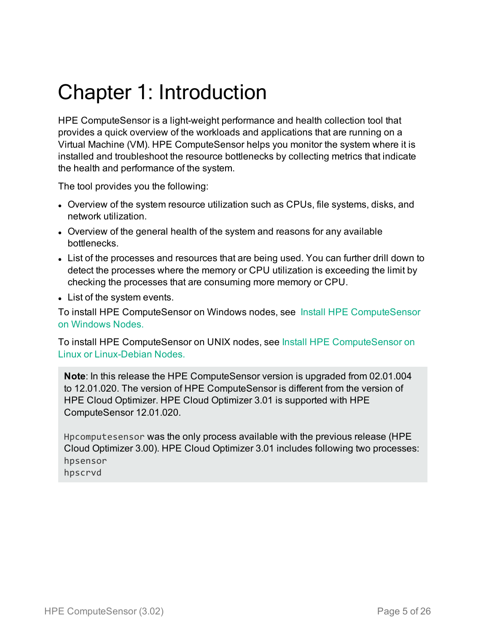# <span id="page-4-0"></span>Chapter 1: Introduction

HPE ComputeSensor is a light-weight performance and health collection tool that provides a quick overview of the workloads and applications that are running on a Virtual Machine (VM). HPE ComputeSensor helps you monitor the system where it is installed and troubleshoot the resource bottlenecks by collecting metrics that indicate the health and performance of the system.

The tool provides you the following:

- Overview of the system resource utilization such as CPUs, file systems, disks, and network utilization.
- Overview of the general health of the system and reasons for any available bottlenecks.
- List of the processes and resources that are being used. You can further drill down to detect the processes where the memory or CPU utilization is exceeding the limit by checking the processes that are consuming more memory or CPU.
- List of the system events.

To install HPE ComputeSensor on Windows nodes, see Install HPE [ComputeSensor](#page-11-1) on [Windows](#page-11-1) Nodes.

To install HPE ComputeSensor on UNIX nodes, see Install HPE [ComputeSensor](#page-13-0) on Linux or [Linux-Debian](#page-13-0) Nodes.

**Note**: In this release the HPE ComputeSensor version is upgraded from 02.01.004 to 12.01.020. The version of HPE ComputeSensor is different from the version of HPE Cloud Optimizer. HPE Cloud Optimizer 3.01 is supported with HPE ComputeSensor 12.01.020.

Hpcomputesensor was the only process available with the previous release (HPE Cloud Optimizer 3.00). HPE Cloud Optimizer 3.01 includes following two processes: hpsensor hpscrvd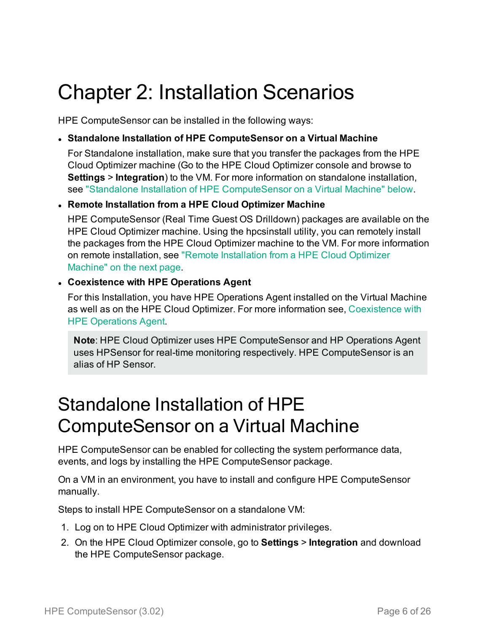# <span id="page-5-0"></span>Chapter 2: Installation Scenarios

HPE ComputeSensor can be installed in the following ways:

# <sup>l</sup> **Standalone Installation of HPE ComputeSensor on a Virtual Machine**

For Standalone installation, make sure that you transfer the packages from the HPE Cloud Optimizer machine (Go to the HPE Cloud Optimizer console and browse to **Settings** > **Integration**) to the VM. For more information on standalone installation, see "Standalone Installation of HPE [ComputeSensor](#page-5-1) on a Virtual Machine" below.

# <sup>l</sup> **Remote Installation from a HPE Cloud Optimizer Machine**

HPE ComputeSensor (Real Time Guest OS Drilldown) packages are available on the HPE Cloud Optimizer machine. Using the hpcsinstall utility, you can remotely install the packages from the HPE Cloud Optimizer machine to the VM. For more information on remote installation, see "Remote [Installation](#page-6-0) from a HPE Cloud Optimizer [Machine"](#page-6-0) on the next page.

# <sup>l</sup> **Coexistence with HPE Operations Agent**

For this Installation, you have HPE Operations Agent installed on the Virtual Machine as well as on the HPE Cloud Optimizer. For more information see, [Coexistence](#page-8-1) with HPE [Operations](#page-8-1) Agent.

<span id="page-5-1"></span>**Note**: HPE Cloud Optimizer uses HPE ComputeSensor and HP Operations Agent uses HPSensor for real-time monitoring respectively. HPE ComputeSensor is an alias of HP Sensor.

# Standalone Installation of HPE ComputeSensor on a Virtual Machine

HPE ComputeSensor can be enabled for collecting the system performance data, events, and logs by installing the HPE ComputeSensor package.

On a VM in an environment, you have to install and configure HPE ComputeSensor manually.

Steps to install HPE ComputeSensor on a standalone VM:

- 1. Log on to HPE Cloud Optimizer with administrator privileges.
- 2. On the HPE Cloud Optimizer console, go to **Settings** > **Integration** and download the HPE ComputeSensor package.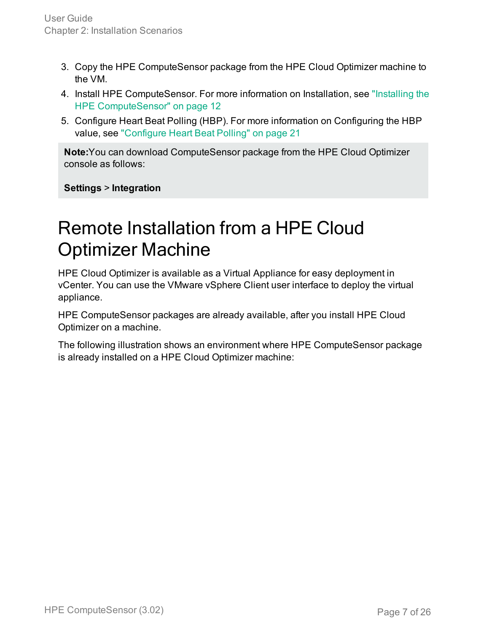- 3. Copy the HPE ComputeSensor package from the HPE Cloud Optimizer machine to the VM.
- 4. Install HPE ComputeSensor. For more information on Installation, see ["Installing](#page-11-0) the HPE [ComputeSensor"](#page-11-0) on page 12
- 5. Configure Heart Beat Polling (HBP). For more information on Configuring the HBP value, see ["Configure](#page-20-0) Heart Beat Polling" on page 21

**Note:**You can download ComputeSensor package from the HPE Cloud Optimizer console as follows:

<span id="page-6-0"></span>**Settings** > **Integration**

# Remote Installation from a HPE Cloud Optimizer Machine

HPE Cloud Optimizer is available as a Virtual Appliance for easy deployment in vCenter. You can use the VMware vSphere Client user interface to deploy the virtual appliance.

HPE ComputeSensor packages are already available, after you install HPE Cloud Optimizer on a machine.

The following illustration shows an environment where HPE ComputeSensor package is already installed on a HPE Cloud Optimizer machine: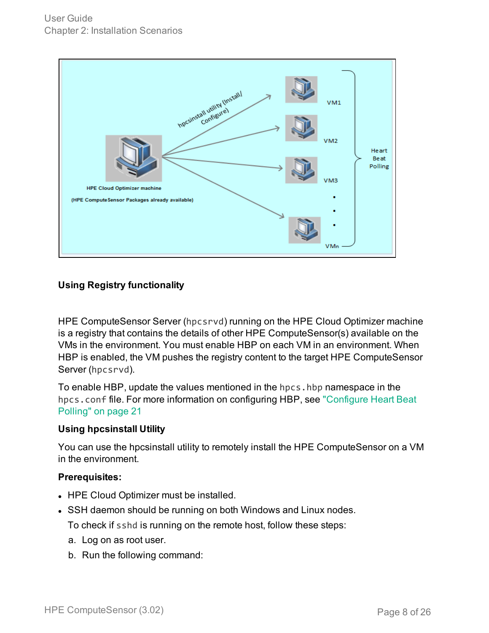

# **Using Registry functionality**

HPE ComputeSensor Server (hpcsrvd) running on the HPE Cloud Optimizer machine is a registry that contains the details of other HPE ComputeSensor(s) available on the VMs in the environment. You must enable HBP on each VM in an environment. When HBP is enabled, the VM pushes the registry content to the target HPE ComputeSensor Server (hpcsrvd).

To enable HBP, update the values mentioned in the hpcs.hbp namespace in the hpcs.conf file. For more information on configuring HBP, see ["Configure](#page-20-0) Heart Beat Polling" on [page 21](#page-20-0)

## **Using hpcsinstall Utility**

You can use the hpcsinstall utility to remotely install the HPE ComputeSensor on a VM in the environment.

## **Prerequisites:**

- HPE Cloud Optimizer must be installed.
- SSH daemon should be running on both Windows and Linux nodes.

To check if sshd is running on the remote host, follow these steps:

- a. Log on as root user.
- b. Run the following command: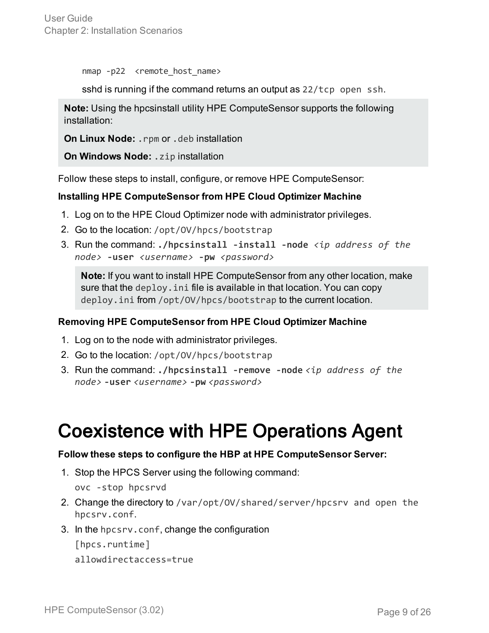nmap -p22 <remote host name>

sshd is running if the command returns an output as 22/tcp open ssh.

**Note:** Using the hpcsinstall utility HPE ComputeSensor supports the following installation:

**On Linux Node:** .rpm or .deb installation

**On Windows Node:** .zip installation

Follow these steps to install, configure, or remove HPE ComputeSensor:

## **Installing HPE ComputeSensor from HPE Cloud Optimizer Machine**

- 1. Log on to the HPE Cloud Optimizer node with administrator privileges.
- 2. Go to the location: /opt/OV/hpcs/bootstrap
- 3. Run the command: **./hpcsinstall -install -node** *<ip address of the node>* **-user** *<username>* **-pw** *<password>*

**Note:** If you want to install HPE ComputeSensor from any other location, make sure that the deploy.ini file is available in that location. You can copy deploy.ini from /opt/OV/hpcs/bootstrap to the current location.

## **Removing HPE ComputeSensor from HPE Cloud Optimizer Machine**

- 1. Log on to the node with administrator privileges.
- 2. Go to the location: /opt/OV/hpcs/bootstrap
- 3. Run the command: **./hpcsinstall -remove -node** *<ip address of the node>* **-user** *<username>* **-pw** *<password>*

# <span id="page-8-1"></span><span id="page-8-0"></span>Coexistence with HPE Operations Agent

## **Follow these steps to configure the HBP at HPE ComputeSensor Server:**

1. Stop the HPCS Server using the following command:

ovc -stop hpcsrvd

- 2. Change the directory to /var/opt/OV/shared/server/hpcsrv and open the hpcsrv.conf.
- 3. In the hpcsrv.conf, change the configuration

[hpcs.runtime]

allowdirectaccess=true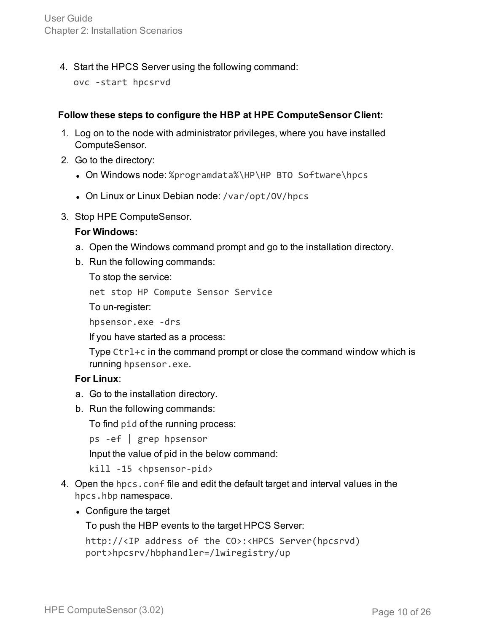4. Start the HPCS Server using the following command:

ovc -start hpcsrvd

# **Follow these steps to configure the HBP at HPE ComputeSensor Client:**

- 1. Log on to the node with administrator privileges, where you have installed ComputeSensor.
- 2. Go to the directory:
	- On Windows node: %programdata%\HP\HP BTO Software\hpcs
	- On Linux or Linux Debian node: /var/opt/0V/hpcs
- 3. Stop HPE ComputeSensor.

## **For Windows:**

- a. Open the Windows command prompt and go to the installation directory.
- b. Run the following commands:

To stop the service:

net stop HP Compute Sensor Service

To un-register:

hpsensor.exe -drs

If you have started as a process:

Type Ctrl+c in the command prompt or close the command window which is running hpsensor.exe.

# **For Linux**:

- a. Go to the installation directory.
- b. Run the following commands:

To find pid of the running process:

ps -ef | grep hpsensor

Input the value of pid in the below command:

kill -15 <hpsensor-pid>

- 4. Open the hpcs.conf file and edit the default target and interval values in the hpcs.hbp namespace.
	- Configure the target

To push the HBP events to the target HPCS Server:

```
http://<IP address of the CO>:<HPCS Server(hpcsrvd)
port>hpcsrv/hbphandler=/lwiregistry/up
```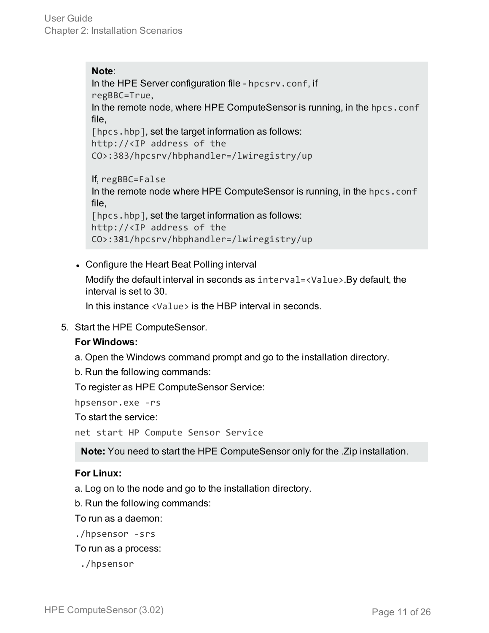**Note**: In the HPE Server configuration file - hpcsrv.conf, if regBBC=True, In the remote node, where HPE ComputeSensor is running, in the hpcs.conf file, [hpcs.hbp], set the target information as follows: http://<IP address of the CO>:383/hpcsrv/hbphandler=/lwiregistry/up If, regBBC=False In the remote node where HPE ComputeSensor is running, in the hpcs.conf file, [hpcs.hbp], set the target information as follows: http://<IP address of the

• Configure the Heart Beat Polling interval

Modify the default interval in seconds as interval=<Value>.By default, the interval is set to 30.

In this instance <Value> is the HBP interval in seconds.

CO>:381/hpcsrv/hbphandler=/lwiregistry/up

5. Start the HPE ComputeSensor.

## **For Windows:**

- a. Open the Windows command prompt and go to the installation directory.
- b. Run the following commands:

To register as HPE ComputeSensor Service:

hpsensor.exe -rs

To start the service:

net start HP Compute Sensor Service

**Note:** You need to start the HPE ComputeSensor only for the .Zip installation.

## **For Linux:**

a. Log on to the node and go to the installation directory.

b. Run the following commands:

To run as a daemon:

./hpsensor -srs

To run as a process:

./hpsensor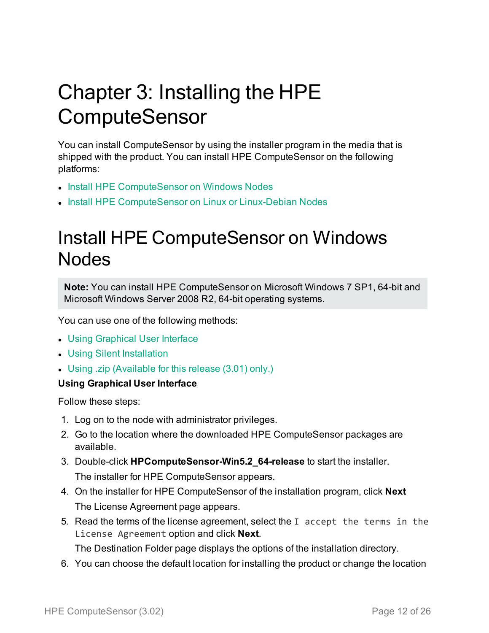# <span id="page-11-0"></span>Chapter 3: Installing the HPE **ComputeSensor**

You can install ComputeSensor by using the installer program in the media that is shipped with the product. You can install HPE ComputeSensor on the following platforms:

- Install HPE [ComputeSensor](#page-11-1) on Windows Nodes
- <span id="page-11-1"></span>• Install HPE ComputeSensor on Linux or [Linux-Debian Nodes](#page-13-0)

# Install HPE ComputeSensor on Windows Nodes

**Note:** You can install HPE ComputeSensor on Microsoft Windows 7 SP1, 64-bit and Microsoft Windows Server 2008 R2, 64-bit operating systems.

You can use one of the following methods:

- Using [Graphical](#page-11-2) User Interface
- Using Silent [Installation](#page-12-0)
- <span id="page-11-2"></span>• Using .zip [\(Available](#page-12-1) for this release (3.01) only.)

# **Using Graphical User Interface**

Follow these steps:

- 1. Log on to the node with administrator privileges.
- 2. Go to the location where the downloaded HPE ComputeSensor packages are available.
- 3. Double-click **HPComputeSensor-Win5.2\_64-release** to start the installer. The installer for HPE ComputeSensor appears.
- 4. On the installer for HPE ComputeSensor of the installation program, click **Next** The License Agreement page appears.
- 5. Read the terms of the license agreement, select the I accept the terms in the License Agreement option and click **Next**.

The Destination Folder page displays the options of the installation directory.

6. You can choose the default location for installing the product or change the location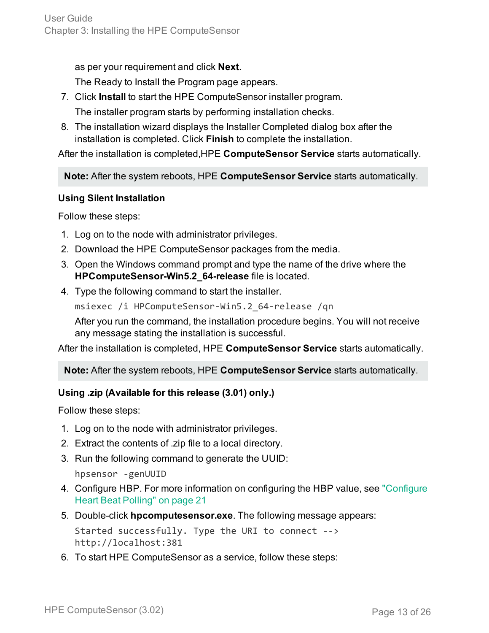as per your requirement and click **Next**.

The Ready to Install the Program page appears.

- 7. Click **Install** to start the HPE ComputeSensor installer program. The installer program starts by performing installation checks.
- 8. The installation wizard displays the Installer Completed dialog box after the installation is completed. Click **Finish** to complete the installation.

After the installation is completed,HPE **ComputeSensor Service** starts automatically.

**Note:** After the system reboots, HPE **ComputeSensor Service** starts automatically.

# <span id="page-12-0"></span>**Using Silent Installation**

Follow these steps:

- 1. Log on to the node with administrator privileges.
- 2. Download the HPE ComputeSensor packages from the media.
- 3. Open the Windows command prompt and type the name of the drive where the **HPComputeSensor-Win5.2\_64-release** file is located.
- 4. Type the following command to start the installer.

msiexec /i HPComputeSensor-Win5.2\_64-release /qn

After you run the command, the installation procedure begins. You will not receive any message stating the installation is successful.

After the installation is completed, HPE **ComputeSensor Service** starts automatically.

**Note:** After the system reboots, HPE **ComputeSensor Service** starts automatically.

# <span id="page-12-1"></span>**Using .zip (Available for this release (3.01) only.)**

Follow these steps:

- 1. Log on to the node with administrator privileges.
- 2. Extract the contents of .zip file to a local directory.
- 3. Run the following command to generate the UUID:

hpsensor -genUUID

- 4. Configure HBP. For more information on configuring the HBP value, see ["Configure](#page-20-0) Heart Beat Polling" on [page 21](#page-20-0)
- 5. Double-click **hpcomputesensor.exe**. The following message appears:

Started successfully. Type the URI to connect --> http://localhost:381

6. To start HPE ComputeSensor as a service, follow these steps: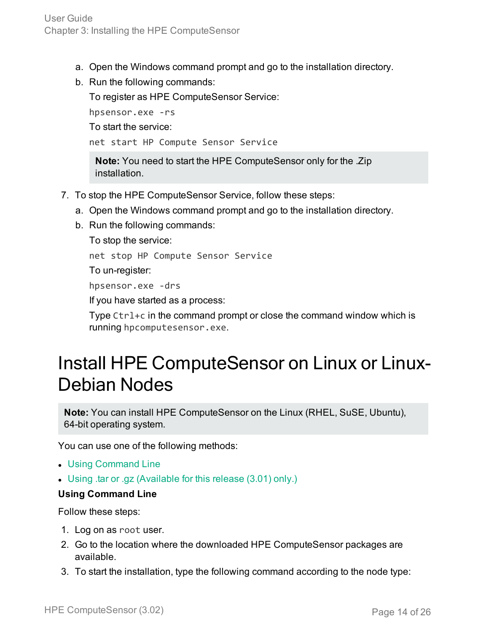- a. Open the Windows command prompt and go to the installation directory.
- b. Run the following commands:

To register as HPE ComputeSensor Service:

hpsensor.exe -rs To start the service:

net start HP Compute Sensor Service

**Note:** You need to start the HPE ComputeSensor only for the .Zip installation.

- 7. To stop the HPE ComputeSensor Service, follow these steps:
	- a. Open the Windows command prompt and go to the installation directory.
	- b. Run the following commands:

To stop the service:

net stop HP Compute Sensor Service

To un-register:

hpsensor.exe -drs

If you have started as a process:

Type Ctrl+c in the command prompt or close the command window which is running hpcomputesensor.exe.

# <span id="page-13-0"></span>Install HPE ComputeSensor on Linux or Linux-Debian Nodes

**Note:** You can install HPE ComputeSensor on the Linux (RHEL, SuSE, Ubuntu), 64-bit operating system.

You can use one of the following methods:

- Using [Command](#page-13-1) Line
- <span id="page-13-1"></span>• Using .tar or .gz [\(Available](#page-14-0) for this release (3.01) only.)

## **Using Command Line**

Follow these steps:

- 1. Log on as root user.
- 2. Go to the location where the downloaded HPE ComputeSensor packages are available.
- 3. To start the installation, type the following command according to the node type: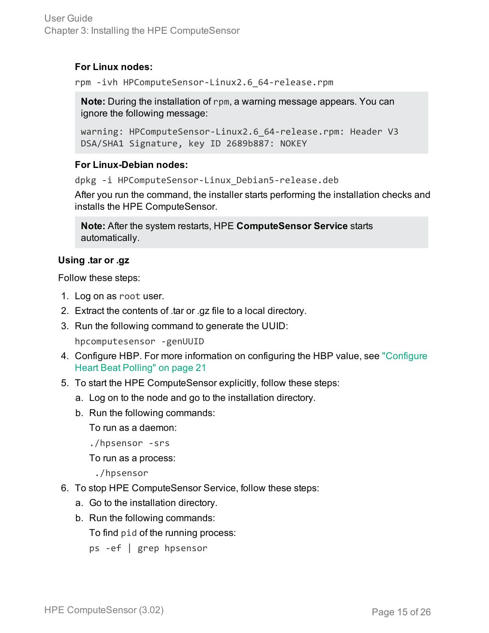# **For Linux nodes:**

rpm -ivh HPComputeSensor-Linux2.6\_64-release.rpm

**Note:** During the installation of rpm, a warning message appears. You can ignore the following message:

```
warning: HPComputeSensor-Linux2.6_64-release.rpm: Header V3
DSA/SHA1 Signature, key ID 2689b887: NOKEY
```
# **For Linux-Debian nodes:**

dpkg -i HPComputeSensor-Linux\_Debian5-release.deb

After you run the command, the installer starts performing the installation checks and installs the HPE ComputeSensor.

**Note:** After the system restarts, HPE **ComputeSensor Service** starts automatically.

# <span id="page-14-0"></span>**Using .tar or .gz**

Follow these steps:

- 1. Log on as root user.
- 2. Extract the contents of .tar or .gz file to a local directory.
- 3. Run the following command to generate the UUID:

hpcomputesensor -genUUID

- 4. Configure HBP. For more information on configuring the HBP value, see ["Configure](#page-20-0) Heart Beat Polling" on [page 21](#page-20-0)
- 5. To start the HPE ComputeSensor explicitly, follow these steps:
	- a. Log on to the node and go to the installation directory.
	- b. Run the following commands:

To run as a daemon:

./hpsensor -srs

To run as a process:

./hpsensor

- 6. To stop HPE ComputeSensor Service, follow these steps:
	- a. Go to the installation directory.
	- b. Run the following commands:

To find pid of the running process:

ps -ef | grep hpsensor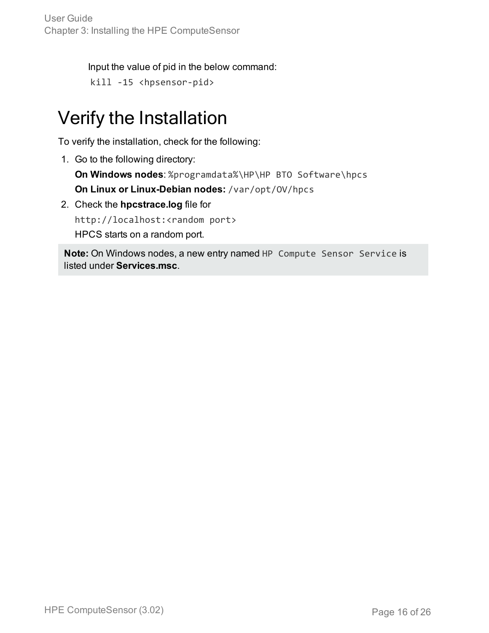User Guide Chapter 3: Installing the HPE ComputeSensor

Input the value of pid in the below command:

```
kill -15 <hpsensor-pid>
```
# <span id="page-15-0"></span>Verify the Installation

To verify the installation, check for the following:

1. Go to the following directory:

**On Windows nodes**: %programdata%\HP\HP BTO Software\hpcs **On Linux or Linux-Debian nodes:** /var/opt/OV/hpcs

2. Check the **hpcstrace.log** file for

http://localhost:<random port> HPCS starts on a random port.

**Note:** On Windows nodes, a new entry named HP Compute Sensor Service is listed under **Services.msc**.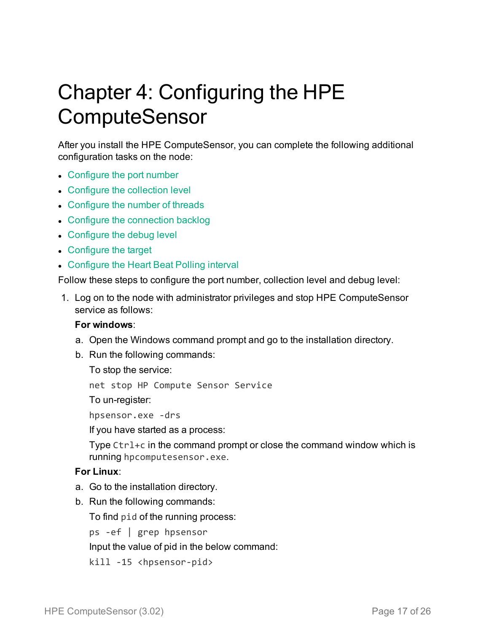# <span id="page-16-0"></span>Chapter 4: Configuring the HPE **ComputeSensor**

After you install the HPE ComputeSensor, you can complete the following additional configuration tasks on the node:

- [Configure](#page-17-0) the port number
- [Configure](#page-17-1) the collection level
- [Configure](#page-17-2) the number of threads
- Configure the [connection](#page-17-3) backlog
- [Configure](#page-18-0) the debug level
- [Configure](#page-18-1) the target
- [Configure](#page-18-2) the Heart Beat Polling interval

Follow these steps to configure the port number, collection level and debug level:

1. Log on to the node with administrator privileges and stop HPE ComputeSensor service as follows:

## <span id="page-16-1"></span>**For windows**:

- a. Open the Windows command prompt and go to the installation directory.
- b. Run the following commands:

To stop the service:

net stop HP Compute Sensor Service

To un-register:

hpsensor.exe -drs

If you have started as a process:

Type Ctrl+c in the command prompt or close the command window which is running hpcomputesensor.exe.

## **For Linux**:

- a. Go to the installation directory.
- b. Run the following commands:

To find pid of the running process:

ps -ef | grep hpsensor

Input the value of pid in the below command:

kill -15 <hpsensor-pid>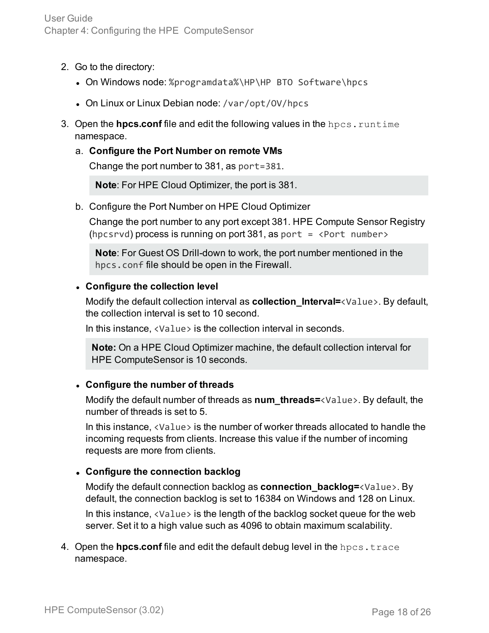- 2. Go to the directory:
	- On Windows node: %programdata%\HP\HP BTO Software\hpcs
	- On Linux or Linux Debian node: /var/opt/0V/hpcs
- 3. Open the **hpcs.conf** file and edit the following values in the hpcs.runtime namespace.
	- a. **Configure the Port Number on remote VMs**

<span id="page-17-0"></span>Change the port number to 381, as port=381.

**Note**: For HPE Cloud Optimizer, the port is 381.

b. Configure the Port Number on HPE Cloud Optimizer

Change the port number to any port except 381. HPE Compute Sensor Registry (hpcsrvd) process is running on port 381, as port  $=$  <Port number>

**Note**: For Guest OS Drill-down to work, the port number mentioned in the hpcs.conf file should be open in the Firewall.

# <span id="page-17-1"></span><sup>l</sup> **Configure the collection level**

Modify the default collection interval as **collection\_Interval=**<Value>. By default, the collection interval is set to 10 second.

In this instance, <Value> is the collection interval in seconds.

**Note:** On a HPE Cloud Optimizer machine, the default collection interval for HPE ComputeSensor is 10 seconds.

# <span id="page-17-2"></span><sup>l</sup> **Configure the number of threads**

Modify the default number of threads as **num\_threads=**<Value>. By default, the number of threads is set to 5.

In this instance, <Value> is the number of worker threads allocated to handle the incoming requests from clients. Increase this value if the number of incoming requests are more from clients.

# <span id="page-17-3"></span><sup>l</sup> **Configure the connection backlog**

Modify the default connection backlog as **connection\_backlog=**<Value>. By default, the connection backlog is set to 16384 on Windows and 128 on Linux.

In this instance, <Value> is the length of the backlog socket queue for the web server. Set it to a high value such as 4096 to obtain maximum scalability.

4. Open the **hpcs.conf** file and edit the default debug level in the hpcs.trace namespace.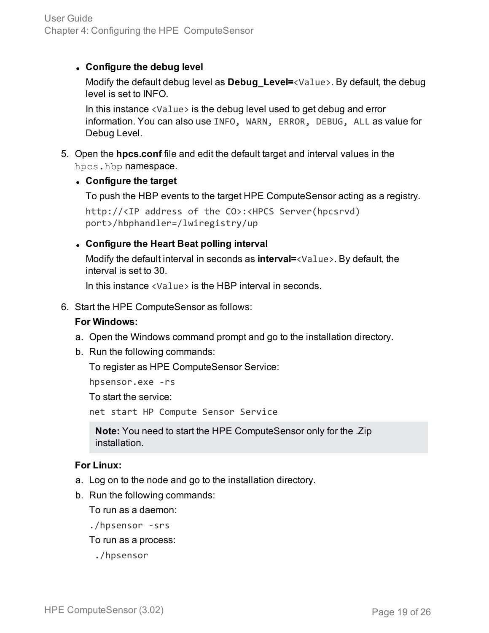# <span id="page-18-0"></span><sup>l</sup> **Configure the debug level**

Modify the default debug level as **Debug\_Level=**<Value>. By default, the debug level is set to INFO.

In this instance <Value> is the debug level used to get debug and error information. You can also use INFO, WARN, ERROR, DEBUG, ALL as value for Debug Level.

5. Open the **hpcs.conf** file and edit the default target and interval values in the hpcs.hbp namespace.

# <span id="page-18-1"></span><sup>l</sup> **Configure the target**

To push the HBP events to the target HPE ComputeSensor acting as a registry.

```
http://<IP address of the CO>:<HPCS Server(hpcsrvd)
port>/hbphandler=/lwiregistry/up
```
# <span id="page-18-2"></span><sup>l</sup> **Configure the Heart Beat polling interval**

Modify the default interval in seconds as **interval=**<Value>. By default, the interval is set to 30.

In this instance <Value> is the HBP interval in seconds.

6. Start the HPE ComputeSensor as follows:

## <span id="page-18-3"></span>**For Windows:**

- a. Open the Windows command prompt and go to the installation directory.
- b. Run the following commands:

To register as HPE ComputeSensor Service:

hpsensor.exe -rs

To start the service:

net start HP Compute Sensor Service

**Note:** You need to start the HPE ComputeSensor only for the .Zip installation.

## **For Linux:**

- a. Log on to the node and go to the installation directory.
- b. Run the following commands:

To run as a daemon:

./hpsensor -srs

To run as a process:

./hpsensor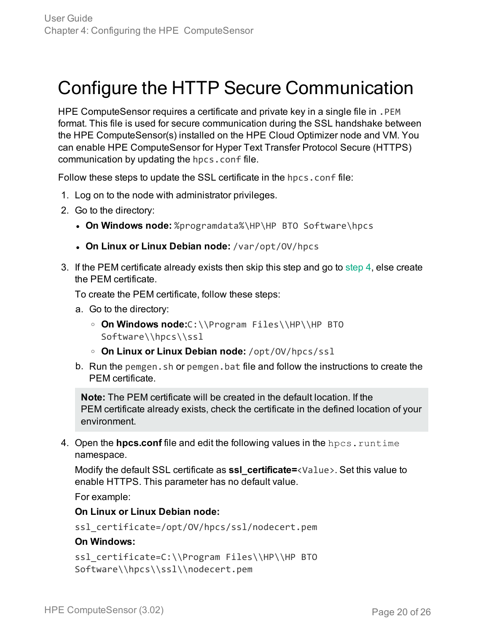# <span id="page-19-0"></span>Configure the HTTP Secure Communication

HPE ComputeSensor requires a certificate and private key in a single file in . PEM format. This file is used for secure communication during the SSL handshake between the HPE ComputeSensor(s) installed on the HPE Cloud Optimizer node and VM. You can enable HPE ComputeSensor for Hyper Text Transfer Protocol Secure (HTTPS) communication by updating the hpcs.conf file.

Follow these steps to update the SSL certificate in the hpcs.conf file:

- 1. Log on to the node with administrator privileges.
- 2. Go to the directory:
	- **. On Windows node:** %programdata%\HP\HP BTO Software\hpcs
	- <sup>l</sup> **On Linux or Linux Debian node:** /var/opt/OV/hpcs
- 3. If the PEM certificate already exists then skip this step and go to [step](#page-19-1) 4, else create the PEM certificate.

To create the PEM certificate, follow these steps:

- a. Go to the directory:
	- <sup>o</sup> **On Windows node:**C:\\Program Files\\HP\\HP BTO Software\\hpcs\\ssl
	- <sup>o</sup> **On Linux or Linux Debian node:** /opt/OV/hpcs/ssl
- b. Run the pemgen, sh or pemgen, bat file and follow the instructions to create the PEM certificate.

**Note:** The PEM certificate will be created in the default location. If the PEM certificate already exists, check the certificate in the defined location of your environment.

<span id="page-19-1"></span>4. Open the **hpcs.conf** file and edit the following values in the hpcs.runtime namespace.

Modify the default SSL certificate as **ssl\_certificate=**<Value>. Set this value to enable HTTPS. This parameter has no default value.

For example:

## **On Linux or Linux Debian node:**

ssl\_certificate=/opt/OV/hpcs/ssl/nodecert.pem

## **On Windows:**

```
ssl_certificate=C:\\Program Files\\HP\\HP BTO
Software\\hpcs\\ssl\\nodecert.pem
```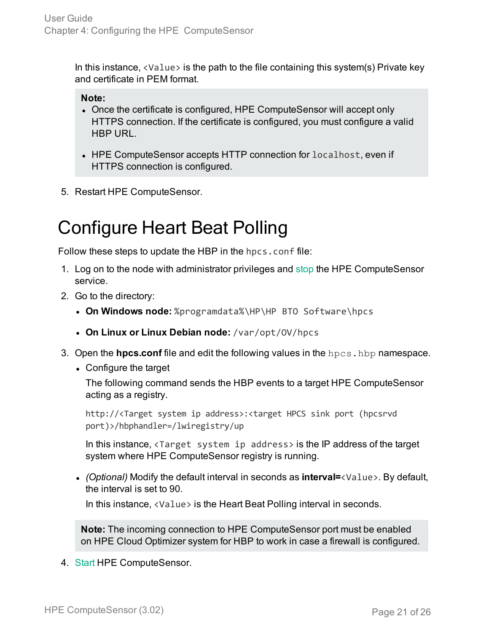In this instance,  $\langle$ Value $\rangle$  is the path to the file containing this system(s) Private key and certificate in PEM format.

# **Note:**

- Once the certificate is configured, HPE ComputeSensor will accept only HTTPS connection. If the certificate is configured, you must configure a valid HBP URL.
- HPE ComputeSensor accepts HTTP connection for localhost, even if HTTPS connection is configured.
- <span id="page-20-0"></span>5. Restart HPE ComputeSensor.

# Configure Heart Beat Polling

Follow these steps to update the HBP in the hpcs.conf file:

- 1. Log on to the node with administrator privileges and [stop](#page-16-1) the HPE ComputeSensor service.
- 2. Go to the directory:
	- **. On Windows node:** %programdata%\HP\HP BTO Software\hpcs
	- <sup>l</sup> **On Linux or Linux Debian node:** /var/opt/OV/hpcs
- 3. Open the **hpcs.conf** file and edit the following values in the hpcs.hbp namespace.
	- Configure the target

The following command sends the HBP events to a target HPE ComputeSensor acting as a registry.

http://<Target system ip address>:<target HPCS sink port (hpcsrvd port)>/hbphandler=/lwiregistry/up

In this instance, <Target system ip address> is the IP address of the target system where HPE ComputeSensor registry is running.

<sup>l</sup> *(Optional)* Modify the default interval in seconds as **interval=**<Value>. By default, the interval is set to 90.

In this instance, <Value> is the Heart Beat Polling interval in seconds.

**Note:** The incoming connection to HPE ComputeSensor port must be enabled on HPE Cloud Optimizer system for HBP to work in case a firewall is configured.

4. [Start](#page-18-3) HPE ComputeSensor.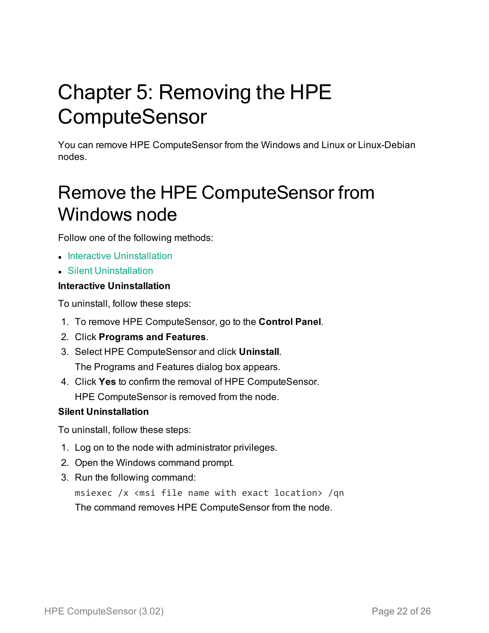# <span id="page-21-0"></span>Chapter 5: Removing the HPE **ComputeSensor**

You can remove HPE ComputeSensor from the Windows and Linux or Linux-Debian nodes.

# <span id="page-21-1"></span>Remove the HPE ComputeSensor from Windows node

Follow one of the following methods:

- **Interactive [Uninstallation](#page-21-2)**
- <span id="page-21-2"></span>**.** Silent [Uninstallation](#page-21-3)

# **Interactive Uninstallation**

To uninstall, follow these steps:

- 1. To remove HPE ComputeSensor, go to the **Control Panel**.
- 2. Click **Programs and Features**.
- 3. Select HPE ComputeSensor and click **Uninstall**. The Programs and Features dialog box appears.
- 4. Click **Yes** to confirm the removal of HPE ComputeSensor. HPE ComputeSensor is removed from the node.

## <span id="page-21-3"></span>**Silent Uninstallation**

To uninstall, follow these steps:

- 1. Log on to the node with administrator privileges.
- 2. Open the Windows command prompt.
- 3. Run the following command:

msiexec /x <msi file name with exact location> /qn The command removes HPE ComputeSensor from the node.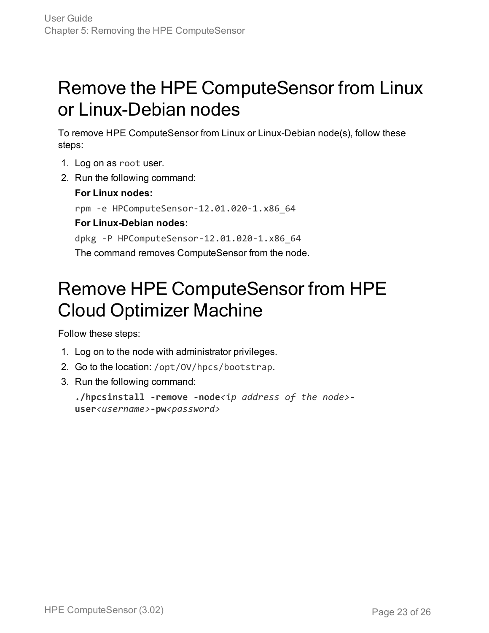# <span id="page-22-0"></span>Remove the HPE ComputeSensor from Linux or Linux-Debian nodes

To remove HPE ComputeSensor from Linux or Linux-Debian node(s), follow these steps:

- 1. Log on as root user.
- 2. Run the following command:

# **For Linux nodes:**

rpm -e HPComputeSensor-12.01.020-1.x86\_64

# **For Linux-Debian nodes:**

dpkg -P HPComputeSensor-12.01.020-1.x86\_64 The command removes ComputeSensor from the node.

# <span id="page-22-1"></span>Remove HPE ComputeSensor from HPE Cloud Optimizer Machine

Follow these steps:

- 1. Log on to the node with administrator privileges.
- 2. Go to the location: /opt/OV/hpcs/bootstrap.
- 3. Run the following command:

```
./hpcsinstall -remove -node<ip address of the node>-
user<username>-pw<password>
```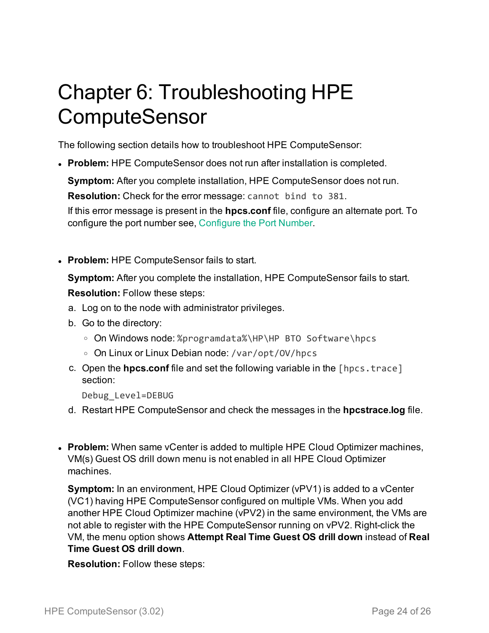# <span id="page-23-0"></span>Chapter 6: Troubleshooting HPE **ComputeSensor**

The following section details how to troubleshoot HPE ComputeSensor:

**Problem:** HPE ComputeSensor does not run after installation is completed.

**Symptom:** After you complete installation, HPE ComputeSensor does not run.

**Resolution:** Check for the error message: cannot bind to 381.

If this error message is present in the **hpcs.conf** file, configure an alternate port. To configure the port number see, [Configure](#page-17-0) the Port Number.

**• Problem:** HPE ComputeSensor fails to start.

**Symptom:** After you complete the installation, HPE ComputeSensor fails to start. **Resolution:** Follow these steps:

- a. Log on to the node with administrator privileges.
- b. Go to the directory:
	- © On Windows node: %programdata%\HP\HP BTO Software\hpcs
	- On Linux or Linux Debian node: /var/opt/0V/hpcs
- c. Open the **hpcs.conf** file and set the following variable in the [hpcs.trace] section:

Debug\_Level=DEBUG

- d. Restart HPE ComputeSensor and check the messages in the **hpcstrace.log** file.
- **Problem:** When same vCenter is added to multiple HPE Cloud Optimizer machines, VM(s) Guest OS drill down menu is not enabled in all HPE Cloud Optimizer machines.

**Symptom:** In an environment, HPE Cloud Optimizer (vPV1) is added to a vCenter (VC1) having HPE ComputeSensor configured on multiple VMs. When you add another HPE Cloud Optimizer machine (vPV2) in the same environment, the VMs are not able to register with the HPE ComputeSensor running on vPV2. Right-click the VM, the menu option shows **Attempt Real Time Guest OS drill down** instead of **Real Time Guest OS drill down**.

**Resolution:** Follow these steps: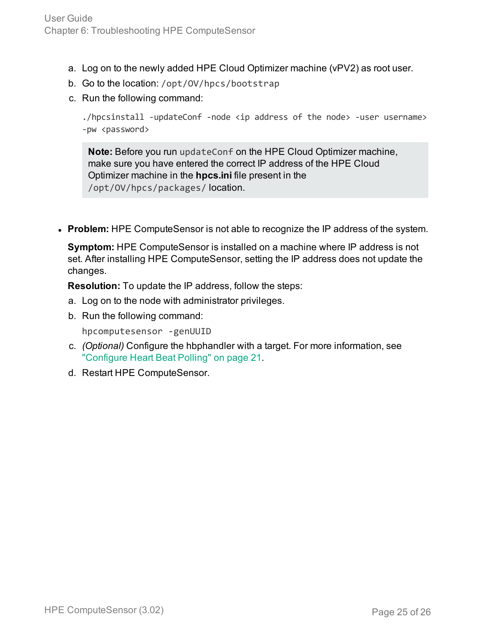- a. Log on to the newly added HPE Cloud Optimizer machine (vPV2) as root user.
- b. Go to the location: /opt/OV/hpcs/bootstrap
- c. Run the following command:

./hpcsinstall -updateConf -node <ip address of the node> -user username> -pw <password>

**Note:** Before you run updateConf on the HPE Cloud Optimizer machine, make sure you have entered the correct IP address of the HPE Cloud Optimizer machine in the **hpcs.ini** file present in the /opt/OV/hpcs/packages/ location.

**• Problem:** HPE ComputeSensor is not able to recognize the IP address of the system.

**Symptom:** HPE ComputeSensor is installed on a machine where IP address is not set. After installing HPE ComputeSensor, setting the IP address does not update the changes.

**Resolution:** To update the IP address, follow the steps:

- a. Log on to the node with administrator privileges.
- b. Run the following command:

hpcomputesensor -genUUID

- c. *(Optional)* Configure the hbphandler with a target. For more information, see ["Configure](#page-20-0) Heart Beat Polling" on page 21.
- d. Restart HPE ComputeSensor.